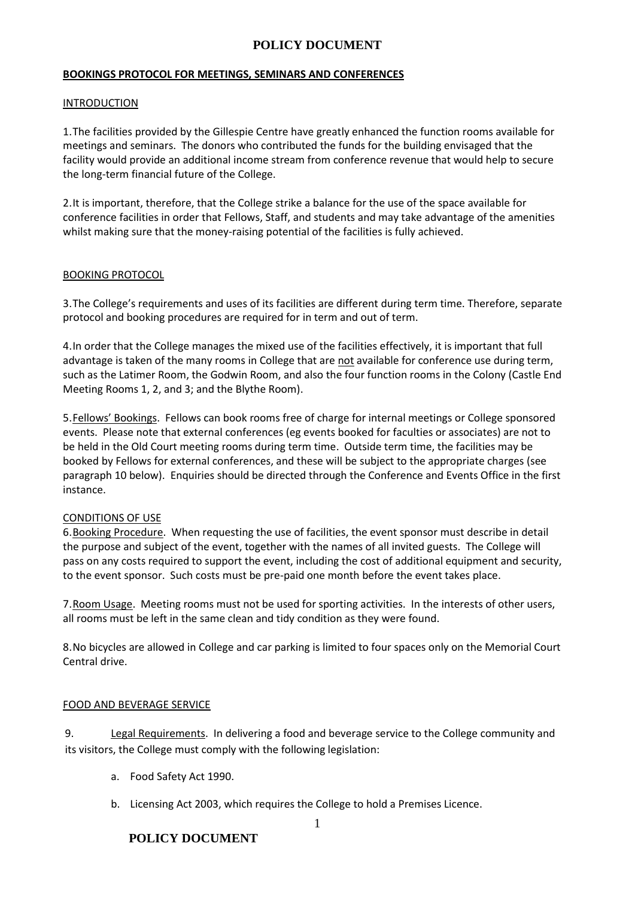#### **BOOKINGS PROTOCOL FOR MEETINGS, SEMINARS AND CONFERENCES**

### INTRODUCTION

1.The facilities provided by the Gillespie Centre have greatly enhanced the function rooms available for meetings and seminars. The donors who contributed the funds for the building envisaged that the facility would provide an additional income stream from conference revenue that would help to secure the long-term financial future of the College.

2.It is important, therefore, that the College strike a balance for the use of the space available for conference facilities in order that Fellows, Staff, and students and may take advantage of the amenities whilst making sure that the money-raising potential of the facilities is fully achieved.

### BOOKING PROTOCOL

3.The College's requirements and uses of its facilities are different during term time. Therefore, separate protocol and booking procedures are required for in term and out of term.

4.In order that the College manages the mixed use of the facilities effectively, it is important that full advantage is taken of the many rooms in College that are not available for conference use during term, such as the Latimer Room, the Godwin Room, and also the four function rooms in the Colony (Castle End Meeting Rooms 1, 2, and 3; and the Blythe Room).

5.Fellows' Bookings. Fellows can book rooms free of charge for internal meetings or College sponsored events. Please note that external conferences (eg events booked for faculties or associates) are not to be held in the Old Court meeting rooms during term time. Outside term time, the facilities may be booked by Fellows for external conferences, and these will be subject to the appropriate charges (see paragraph 10 below). Enquiries should be directed through the Conference and Events Office in the first instance.

# CONDITIONS OF USE

6.Booking Procedure. When requesting the use of facilities, the event sponsor must describe in detail the purpose and subject of the event, together with the names of all invited guests. The College will pass on any costs required to support the event, including the cost of additional equipment and security, to the event sponsor. Such costs must be pre-paid one month before the event takes place.

7.Room Usage. Meeting rooms must not be used for sporting activities. In the interests of other users, all rooms must be left in the same clean and tidy condition as they were found.

8.No bicycles are allowed in College and car parking is limited to four spaces only on the Memorial Court Central drive.

# FOOD AND BEVERAGE SERVICE

9. Legal Requirements. In delivering a food and beverage service to the College community and its visitors, the College must comply with the following legislation:

- a. Food Safety Act 1990.
- b. Licensing Act 2003, which requires the College to hold a Premises Licence.

# **POLICY DOCUMENT**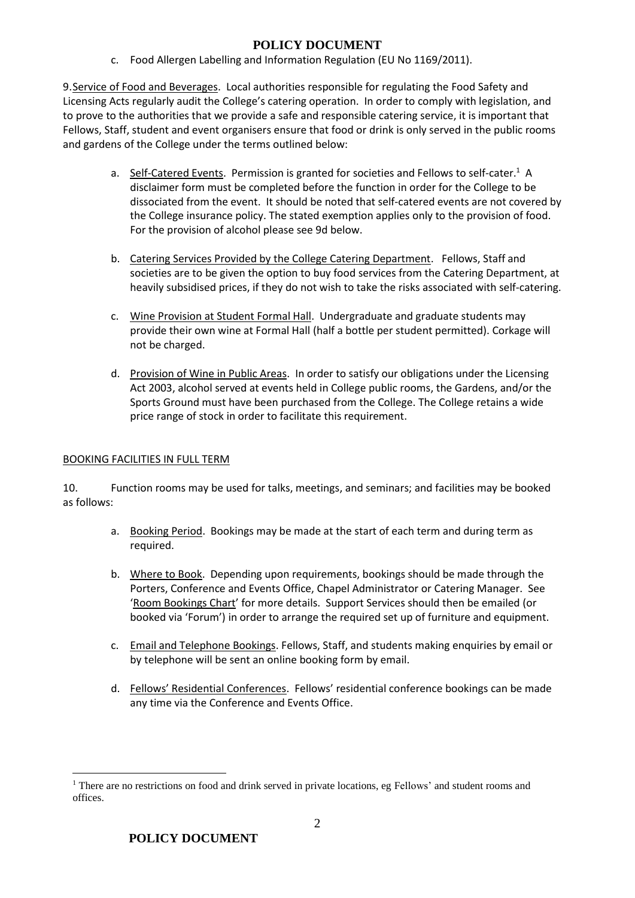c. Food Allergen Labelling and Information Regulation (EU No 1169/2011).

9. Service of Food and Beverages. Local authorities responsible for regulating the Food Safety and Licensing Acts regularly audit the College's catering operation. In order to comply with legislation, and to prove to the authorities that we provide a safe and responsible catering service, it is important that Fellows, Staff, student and event organisers ensure that food or drink is only served in the public rooms and gardens of the College under the terms outlined below:

- a. Self-Catered Events. Permission is granted for societies and Fellows to self-cater.<sup>1</sup> A disclaimer form must be completed before the function in order for the College to be dissociated from the event. It should be noted that self-catered events are not covered by the College insurance policy. The stated exemption applies only to the provision of food. For the provision of alcohol please see 9d below.
- b. Catering Services Provided by the College Catering Department. Fellows, Staff and societies are to be given the option to buy food services from the Catering Department, at heavily subsidised prices, if they do not wish to take the risks associated with self-catering.
- c. Wine Provision at Student Formal Hall. Undergraduate and graduate students may provide their own wine at Formal Hall (half a bottle per student permitted). Corkage will not be charged.
- d. Provision of Wine in Public Areas. In order to satisfy our obligations under the Licensing Act 2003, alcohol served at events held in College public rooms, the Gardens, and/or the Sports Ground must have been purchased from the College. The College retains a wide price range of stock in order to facilitate this requirement.

# BOOKING FACILITIES IN FULL TERM

10. Function rooms may be used for talks, meetings, and seminars; and facilities may be booked as follows:

- a. Booking Period. Bookings may be made at the start of each term and during term as required.
- b. Where to Book. Depending upon requirements, bookings should be made through the Porters, Conference and Events Office, Chapel Administrator or Catering Manager. See '[Room Bookings Chart](http://clareconferencing.com/wp-content/uploads/2017/05/Room-Bookings-Chart.pdf)' for more details. Support Services should then be emailed (or booked via 'Forum') in order to arrange the required set up of furniture and equipment.
- c. Email and Telephone Bookings. Fellows, Staff, and students making enquiries by email or by telephone will be sent an online booking form by email.
- d. Fellows' Residential Conferences. Fellows' residential conference bookings can be made any time via the Conference and Events Office.

 $\overline{a}$ 

<sup>&</sup>lt;sup>1</sup> There are no restrictions on food and drink served in private locations, eg Fellows' and student rooms and offices.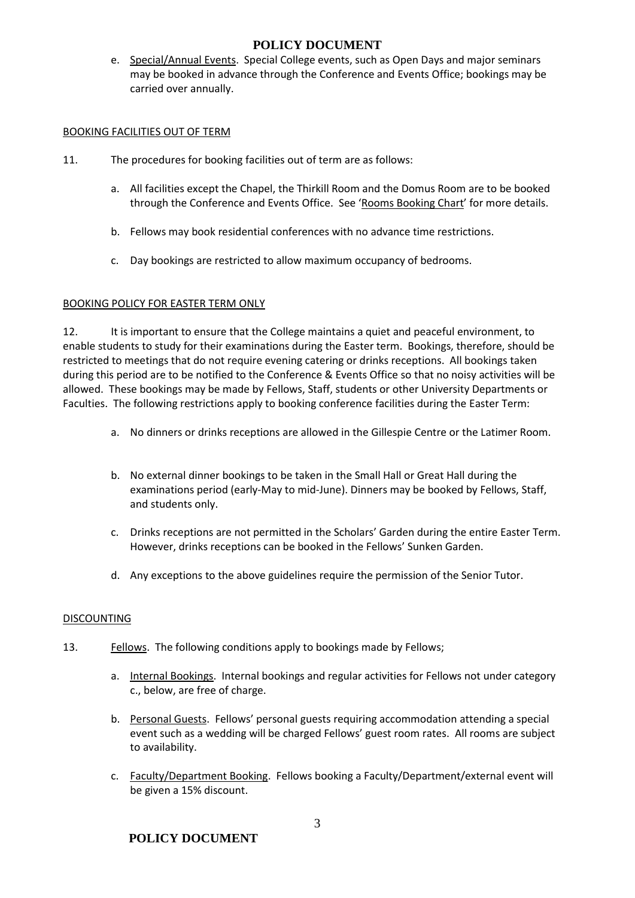e. Special/Annual Events. Special College events, such as Open Days and major seminars may be booked in advance through the Conference and Events Office; bookings may be carried over annually.

### BOOKING FACILITIES OUT OF TERM

- 11. The procedures for booking facilities out of term are as follows:
	- a. All facilities except the Chapel, the Thirkill Room and the Domus Room are to be booked through the Conference and Events Office. See '[Rooms Booking Chart](http://clareconferencing.com/wp-content/uploads/2017/05/Room-Bookings-Chart.pdf)' for more details.
	- b. Fellows may book residential conferences with no advance time restrictions.
	- c. Day bookings are restricted to allow maximum occupancy of bedrooms.

### BOOKING POLICY FOR EASTER TERM ONLY

12. It is important to ensure that the College maintains a quiet and peaceful environment, to enable students to study for their examinations during the Easter term. Bookings, therefore, should be restricted to meetings that do not require evening catering or drinks receptions. All bookings taken during this period are to be notified to the Conference & Events Office so that no noisy activities will be allowed. These bookings may be made by Fellows, Staff, students or other University Departments or Faculties. The following restrictions apply to booking conference facilities during the Easter Term:

- a. No dinners or drinks receptions are allowed in the Gillespie Centre or the Latimer Room.
- b. No external dinner bookings to be taken in the Small Hall or Great Hall during the examinations period (early-May to mid-June). Dinners may be booked by Fellows, Staff, and students only.
- c. Drinks receptions are not permitted in the Scholars' Garden during the entire Easter Term. However, drinks receptions can be booked in the Fellows' Sunken Garden.
- d. Any exceptions to the above guidelines require the permission of the Senior Tutor.

#### DISCOUNTING

- 13. Fellows. The following conditions apply to bookings made by Fellows;
	- a. Internal Bookings. Internal bookings and regular activities for Fellows not under category c., below, are free of charge.
	- b. Personal Guests. Fellows' personal guests requiring accommodation attending a special event such as a wedding will be charged Fellows' guest room rates. All rooms are subject to availability.
	- c. Faculty/Department Booking. Fellows booking a Faculty/Department/external event will be given a 15% discount.

**POLICY DOCUMENT**